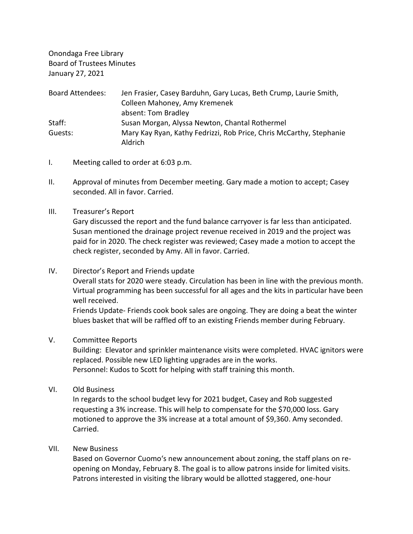Onondaga Free Library Board of Trustees Minutes January 27, 2021

| <b>Board Attendees:</b> | Jen Frasier, Casey Barduhn, Gary Lucas, Beth Crump, Laurie Smith,              |
|-------------------------|--------------------------------------------------------------------------------|
|                         | Colleen Mahoney, Amy Kremenek                                                  |
|                         | absent: Tom Bradley                                                            |
| Staff:                  | Susan Morgan, Alyssa Newton, Chantal Rothermel                                 |
| Guests:                 | Mary Kay Ryan, Kathy Fedrizzi, Rob Price, Chris McCarthy, Stephanie<br>Aldrich |

- I. Meeting called to order at 6:03 p.m.
- II. Approval of minutes from December meeting. Gary made a motion to accept; Casey seconded. All in favor. Carried.
- III. Treasurer's Report

Gary discussed the report and the fund balance carryover is far less than anticipated. Susan mentioned the drainage project revenue received in 2019 and the project was paid for in 2020. The check register was reviewed; Casey made a motion to accept the check register, seconded by Amy. All in favor. Carried.

IV. Director's Report and Friends update

Overall stats for 2020 were steady. Circulation has been in line with the previous month. Virtual programming has been successful for all ages and the kits in particular have been well received.

Friends Update- Friends cook book sales are ongoing. They are doing a beat the winter blues basket that will be raffled off to an existing Friends member during February.

V. Committee Reports

Building: Elevator and sprinkler maintenance visits were completed. HVAC ignitors were replaced. Possible new LED lighting upgrades are in the works. Personnel: Kudos to Scott for helping with staff training this month.

VI. Old Business

In regards to the school budget levy for 2021 budget, Casey and Rob suggested requesting a 3% increase. This will help to compensate for the \$70,000 loss. Gary motioned to approve the 3% increase at a total amount of \$9,360. Amy seconded. Carried.

VII. New Business

Based on Governor Cuomo's new announcement about zoning, the staff plans on reopening on Monday, February 8. The goal is to allow patrons inside for limited visits. Patrons interested in visiting the library would be allotted staggered, one-hour